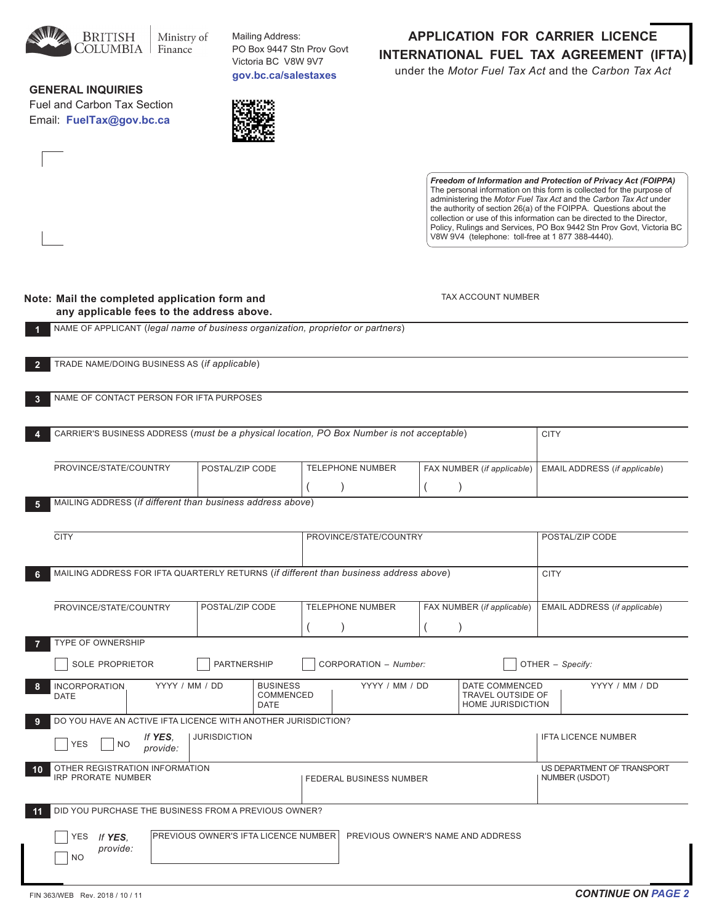

Mailing Address: PO Box 9447 Stn Prov Govt victoria bc v8w 9v7 **gov.bc.ca/salestaxes**

## **general inQuirieS**

Fuel and Carbon Tax Section Email: FuelTax@gov.bc.ca



**application for carrier licence international fuel tax agreement (ifta)** under the *Motor Fuel Tax Act* and the *Carbon Tax Act*

> *Freedom of Information and Protection of Privacy Act (FOIPPA)* The personal information on this form is collected for the purpose of administering the *Motor Fuel Tax Act* and the *Carbon Tax Act* under the authority of section 26(a) of the FOIPPA. Questions about the collection or use of this information can be directed to the Director, Policy, Rulings and Services, PO Box 9442 Stn Prov Govt, Victoria BC v8w 9v4 (telephone: toll-free at 1 877 388-4440).

| Note: Mail the completed application form and |
|-----------------------------------------------|
| any applicable fees to the address above.     |

tax account Number

|                         | NAME OF APPLICANT (legal name of business organization, proprietor or partners)           |                                      |                                             |                         |                                      |                  |                                                          |                               |
|-------------------------|-------------------------------------------------------------------------------------------|--------------------------------------|---------------------------------------------|-------------------------|--------------------------------------|------------------|----------------------------------------------------------|-------------------------------|
| $\overline{2}$          | TRADE NAME/DOING BUSINESS AS (if applicable)                                              |                                      |                                             |                         |                                      |                  |                                                          |                               |
| $\overline{\mathbf{3}}$ | NAME OF CONTACT PERSON FOR IFTA PURPOSES                                                  |                                      |                                             |                         |                                      |                  |                                                          |                               |
| 4                       | CARRIER'S BUSINESS ADDRESS (must be a physical location, PO Box Number is not acceptable) |                                      |                                             |                         |                                      |                  |                                                          | <b>CITY</b>                   |
|                         | PROVINCE/STATE/COUNTRY                                                                    | POSTAL/ZIP CODE                      |                                             |                         | <b>TELEPHONE NUMBER</b><br>$\lambda$ |                  | FAX NUMBER (if applicable)<br>$\lambda$                  | EMAIL ADDRESS (if applicable) |
| 5                       | MAILING ADDRESS (if different than business address above)                                |                                      |                                             |                         |                                      |                  |                                                          |                               |
|                         | <b>CITY</b>                                                                               |                                      |                                             |                         | PROVINCE/STATE/COUNTRY               |                  |                                                          | POSTAL/ZIP CODE               |
| 6                       | MAILING ADDRESS FOR IFTA QUARTERLY RETURNS (if different than business address above)     |                                      |                                             |                         |                                      |                  |                                                          | <b>CITY</b>                   |
|                         | PROVINCE/STATE/COUNTRY                                                                    | POSTAL/ZIP CODE                      |                                             |                         | <b>TELEPHONE NUMBER</b>              |                  | FAX NUMBER (if applicable)                               | EMAIL ADDRESS (if applicable) |
| -7                      | TYPE OF OWNERSHIP                                                                         |                                      |                                             |                         |                                      |                  |                                                          |                               |
|                         | SOLE PROPRIETOR<br>PARTNERSHIP                                                            |                                      |                                             |                         | CORPORATION - Number:                | OTHER - Specify: |                                                          |                               |
| 8                       | YYYY / MM / DD<br><b>INCORPORATION</b><br><b>DATE</b>                                     |                                      | <b>BUSINESS</b><br>COMMENCED<br><b>DATE</b> |                         | YYYY / MM / DD                       |                  | DATE COMMENCED<br>TRAVEL OUTSIDE OF<br>HOME JURISDICTION | YYYY / MM / DD                |
| -9                      | DO YOU HAVE AN ACTIVE IFTA LICENCE WITH ANOTHER JURISDICTION?                             |                                      |                                             |                         |                                      |                  |                                                          |                               |
|                         | <b>JURISDICTION</b><br>If YES.<br><b>YES</b><br><b>NO</b><br>provide:                     |                                      |                                             |                         |                                      |                  | <b>IFTA LICENCE NUMBER</b>                               |                               |
| 10                      | OTHER REGISTRATION INFORMATION<br><b>IRP PRORATE NUMBER</b>                               |                                      |                                             | FEDERAL BUSINESS NUMBER |                                      |                  | US DEPARTMENT OF TRANSPORT<br>NUMBER (USDOT)             |                               |
| 11                      | DID YOU PURCHASE THE BUSINESS FROM A PREVIOUS OWNER?                                      |                                      |                                             |                         |                                      |                  |                                                          |                               |
|                         | <b>YES</b><br>If YES.<br>provide:<br>N <sub>O</sub>                                       | PREVIOUS OWNER'S IFTA LICENCE NUMBER |                                             |                         | PREVIOUS OWNER'S NAME AND ADDRESS    |                  |                                                          |                               |